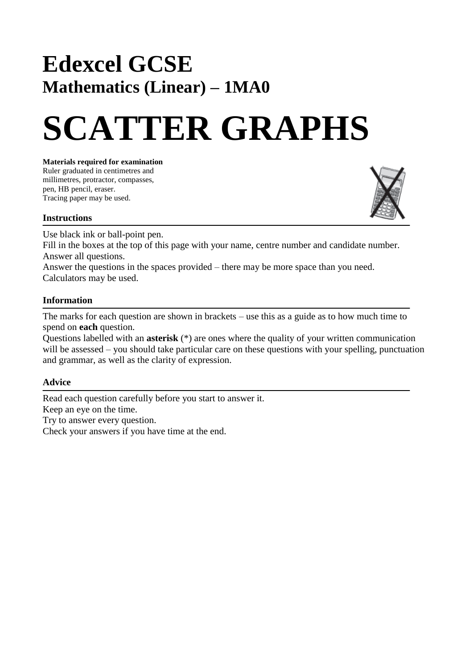## **Edexcel GCSE Mathematics (Linear) – 1MA0**

# **SCATTER GRAPHS**

#### **Materials required for examination**

Ruler graduated in centimetres and millimetres, protractor, compasses, pen, HB pencil, eraser. Tracing paper may be used.



#### **Instructions**

Use black ink or ball-point pen.

Fill in the boxes at the top of this page with your name, centre number and candidate number. Answer all questions.

Answer the questions in the spaces provided – there may be more space than you need. Calculators may be used.

### **Information**

The marks for each question are shown in brackets – use this as a guide as to how much time to spend on **each** question.

Questions labelled with an **asterisk** (\*) are ones where the quality of your written communication will be assessed – you should take particular care on these questions with your spelling, punctuation and grammar, as well as the clarity of expression.

#### **Advice**

Read each question carefully before you start to answer it. Keep an eye on the time. Try to answer every question. Check your answers if you have time at the end.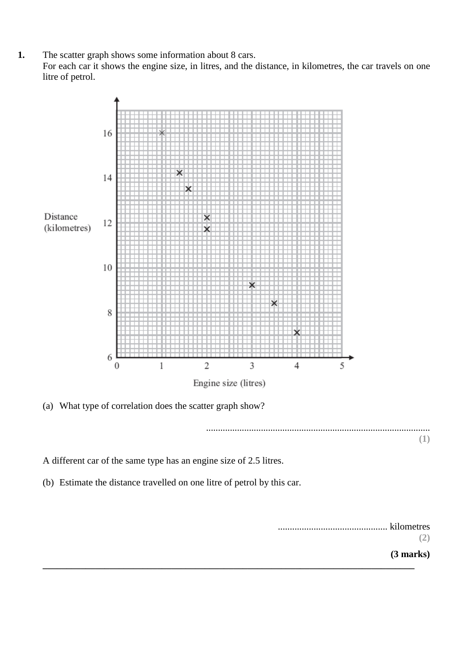**1.** The scatter graph shows some information about 8 cars.

For each car it shows the engine size, in litres, and the distance, in kilometres, the car travels on one litre of petrol.



(a) What type of correlation does the scatter graph show?

.............................................................................................. **(1)**

A different car of the same type has an engine size of 2.5 litres.

(b) Estimate the distance travelled on one litre of petrol by this car.

| kilometres |
|------------|
| . 41       |
| (3 marks)  |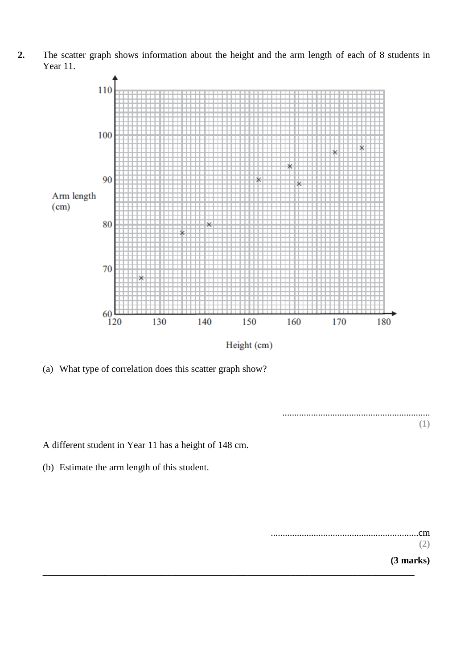**2.** The scatter graph shows information about the height and the arm length of each of 8 students in Year 11.



Height (cm)

**\_\_\_\_\_\_\_\_\_\_\_\_\_\_\_\_\_\_\_\_\_\_\_\_\_\_\_\_\_\_\_\_\_\_\_\_\_\_\_\_\_\_\_\_\_\_\_\_\_\_\_\_\_\_\_\_\_\_\_\_\_\_\_\_\_\_\_\_\_\_\_\_\_\_\_\_\_\_**

(a) What type of correlation does this scatter graph show?

.............................................................. **(1)**

A different student in Year 11 has a height of 148 cm.

(b) Estimate the arm length of this student.

..............................................................cm **(2)**

**(3 marks)**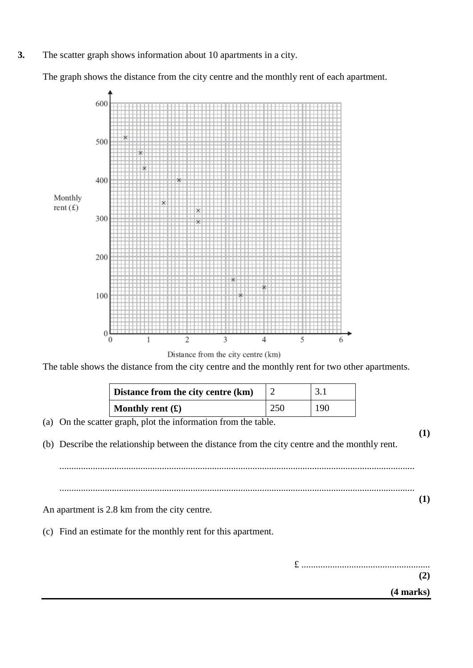**3.** The scatter graph shows information about 10 apartments in a city.

The graph shows the distance from the city centre and the monthly rent of each apartment.



Distance from the city centre (km)

The table shows the distance from the city centre and the monthly rent for two other apartments.

| Distance from the city centre (km)       |     | 3.1 |
|------------------------------------------|-----|-----|
| <b>Monthly rent</b> $(\mathbf{\hat{x}})$ | 250 | 190 |

(a) On the scatter graph, plot the information from the table.

(b) Describe the relationship between the distance from the city centre and the monthly rent.

.....................................................................................................................................................

An apartment is 2.8 km from the city centre.

(c) Find an estimate for the monthly rent for this apartment.

£ ...................................................... **(2)**

.....................................................................................................................................................

**(4 marks)**

**(1)**

**(1)**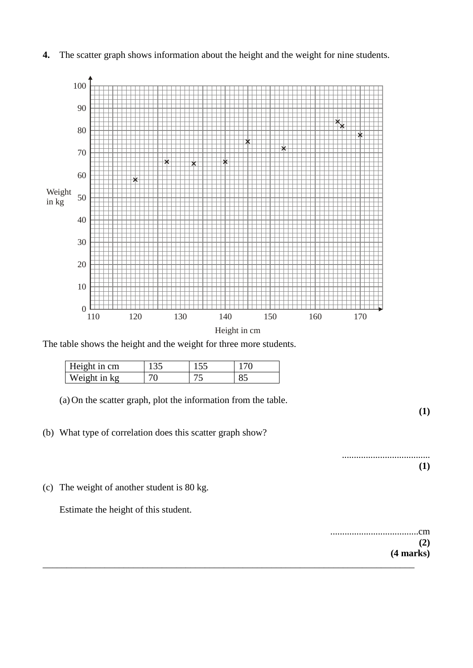**4.** The scatter graph shows information about the height and the weight for nine students.



The table shows the height and the weight for three more students.

| Height in cm |  |  |
|--------------|--|--|
| Weight in kg |  |  |

(a) On the scatter graph, plot the information from the table.

(b) What type of correlation does this scatter graph show?

....... **(1)**

**(1)**

(c) The weight of another student is 80 kg.

Estimate the height of this student.

.....................................cm **(2) (4 marks)** \_\_\_\_\_\_\_\_\_\_\_\_\_\_\_\_\_\_\_\_\_\_\_\_\_\_\_\_\_\_\_\_\_\_\_\_\_\_\_\_\_\_\_\_\_\_\_\_\_\_\_\_\_\_\_\_\_\_\_\_\_\_\_\_\_\_\_\_\_\_\_\_\_\_\_\_\_\_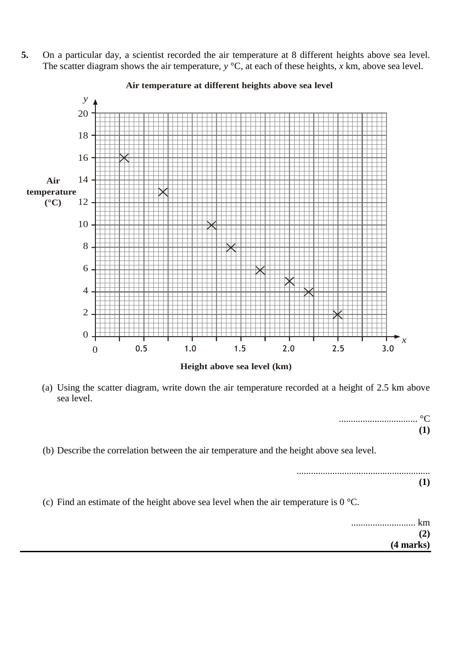**5.** On a particular day, a scientist recorded the air temperature at 8 different heights above sea level. The scatter diagram shows the air temperature, *y* °C, at each of these heights, *x* km, above sea level.



**Air temperature at different heights above sea level**

(a) Using the scatter diagram, write down the air temperature recorded at a height of 2.5 km above sea level.

> ................................. °C **(1)**

(b) Describe the correlation between the air temperature and the height above sea level.

........................................................ **(1)**

(c) Find an estimate of the height above sea level when the air temperature is 0 °C.

........................... km **(2) (4 marks)**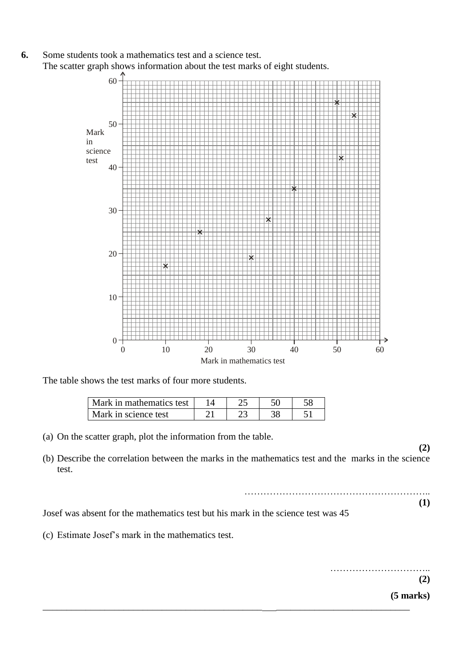**6.** Some students took a mathematics test and a science test. The scatter graph shows information about the test marks of eight students.



The table shows the test marks of four more students.

| Mark in mathematics test |  |  |
|--------------------------|--|--|
| Mark in science test     |  |  |

(a) On the scatter graph, plot the information from the table.

(b) Describe the correlation between the marks in the mathematics test and the marks in the science test.

> ………………………………………………….. **(1)**

Josef was absent for the mathematics test but his mark in the science test was 45

(c) Estimate Josef's mark in the mathematics test.

………………………….. **(2) (5 marks)** \_\_\_\_\_\_\_\_\_\_\_\_\_\_\_\_\_\_\_\_\_\_\_\_\_\_\_\_\_\_\_\_\_\_\_\_\_\_\_\_\_\_\_\_\_\_ \_\_\_\_\_\_\_\_\_\_\_\_\_\_\_\_\_\_\_\_\_\_\_\_\_\_\_\_

**(2)**